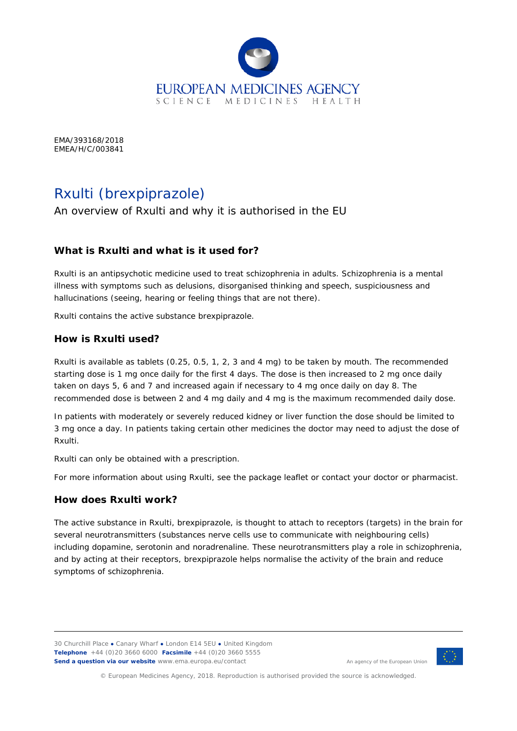

EMA/393168/2018 EMEA/H/C/003841

# Rxulti (*brexpiprazole*)

An overview of Rxulti and why it is authorised in the EU

# **What is Rxulti and what is it used for?**

Rxulti is an antipsychotic medicine used to treat schizophrenia in adults. Schizophrenia is a mental illness with symptoms such as delusions, disorganised thinking and speech, suspiciousness and hallucinations (seeing, hearing or feeling things that are not there).

Rxulti contains the active substance brexpiprazole.

#### **How is Rxulti used?**

Rxulti is available as tablets (0.25, 0.5, 1, 2, 3 and 4 mg) to be taken by mouth. The recommended starting dose is 1 mg once daily for the first 4 days. The dose is then increased to 2 mg once daily taken on days 5, 6 and 7 and increased again if necessary to 4 mg once daily on day 8. The recommended dose is between 2 and 4 mg daily and 4 mg is the maximum recommended daily dose.

In patients with moderately or severely reduced kidney or liver function the dose should be limited to 3 mg once a day. In patients taking certain other medicines the doctor may need to adjust the dose of Rxulti.

Rxulti can only be obtained with a prescription.

For more information about using Rxulti, see the package leaflet or contact your doctor or pharmacist.

#### **How does Rxulti work?**

The active substance in Rxulti, brexpiprazole, is thought to attach to receptors (targets) in the brain for several neurotransmitters (substances nerve cells use to communicate with neighbouring cells) including dopamine, serotonin and noradrenaline. These neurotransmitters play a role in schizophrenia, and by acting at their receptors, brexpiprazole helps normalise the activity of the brain and reduce symptoms of schizophrenia.

30 Churchill Place **●** Canary Wharf **●** London E14 5EU **●** United Kingdom **Telephone** +44 (0)20 3660 6000 **Facsimile** +44 (0)20 3660 5555 **Send a question via our website** www.ema.europa.eu/contact



An agency of the European Union

© European Medicines Agency, 2018. Reproduction is authorised provided the source is acknowledged.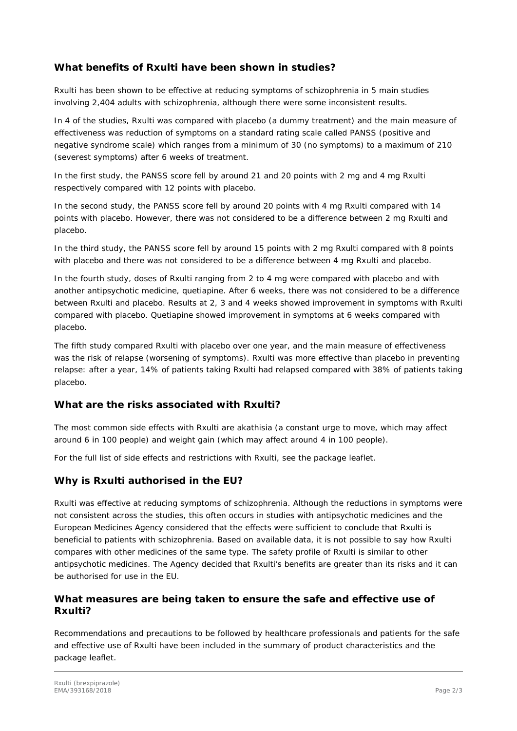## **What benefits of Rxulti have been shown in studies?**

Rxulti has been shown to be effective at reducing symptoms of schizophrenia in 5 main studies involving 2,404 adults with schizophrenia, although there were some inconsistent results.

In 4 of the studies, Rxulti was compared with placebo (a dummy treatment) and the main measure of effectiveness was reduction of symptoms on a standard rating scale called PANSS (positive and negative syndrome scale) which ranges from a minimum of 30 (no symptoms) to a maximum of 210 (severest symptoms) after 6 weeks of treatment.

In the first study, the PANSS score fell by around 21 and 20 points with 2 mg and 4 mg Rxulti respectively compared with 12 points with placebo.

In the second study, the PANSS score fell by around 20 points with 4 mg Rxulti compared with 14 points with placebo. However, there was not considered to be a difference between 2 mg Rxulti and placebo.

In the third study, the PANSS score fell by around 15 points with 2 mg Rxulti compared with 8 points with placebo and there was not considered to be a difference between 4 mg Rxulti and placebo.

In the fourth study, doses of Rxulti ranging from 2 to 4 mg were compared with placebo and with another antipsychotic medicine, quetiapine. After 6 weeks, there was not considered to be a difference between Rxulti and placebo. Results at 2, 3 and 4 weeks showed improvement in symptoms with Rxulti compared with placebo. Quetiapine showed improvement in symptoms at 6 weeks compared with placebo.

The fifth study compared Rxulti with placebo over one year, and the main measure of effectiveness was the risk of relapse (worsening of symptoms). Rxulti was more effective than placebo in preventing relapse: after a year, 14% of patients taking Rxulti had relapsed compared with 38% of patients taking placebo.

### **What are the risks associated with Rxulti?**

The most common side effects with Rxulti are akathisia (a constant urge to move, which may affect around 6 in 100 people) and weight gain (which may affect around 4 in 100 people).

For the full list of side effects and restrictions with Rxulti, see the package leaflet.

### **Why is Rxulti authorised in the EU?**

Rxulti was effective at reducing symptoms of schizophrenia. Although the reductions in symptoms were not consistent across the studies, this often occurs in studies with antipsychotic medicines and the European Medicines Agency considered that the effects were sufficient to conclude that Rxulti is beneficial to patients with schizophrenia. Based on available data, it is not possible to say how Rxulti compares with other medicines of the same type. The safety profile of Rxulti is similar to other antipsychotic medicines. The Agency decided that Rxulti's benefits are greater than its risks and it can be authorised for use in the EU.

#### **What measures are being taken to ensure the safe and effective use of Rxulti?**

Recommendations and precautions to be followed by healthcare professionals and patients for the safe and effective use of Rxulti have been included in the summary of product characteristics and the package leaflet.